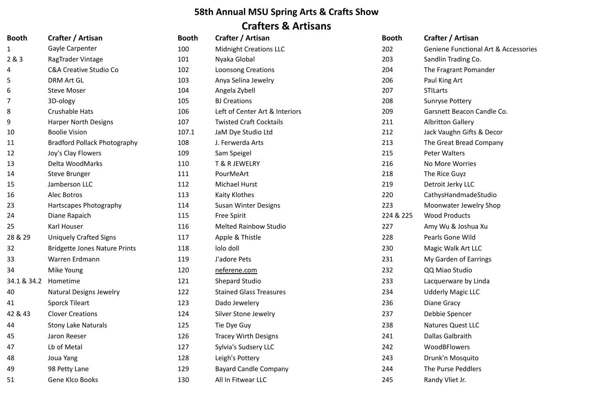## **58th Annual MSU Spring Arts & Crafts Show Crafters & Artisans**

| <b>Booth</b> | Crafter / Artisan                    | <b>Booth</b> | Crafter / Artisan              | <b>Booth</b> | Crafter / Artisan             |
|--------------|--------------------------------------|--------------|--------------------------------|--------------|-------------------------------|
| $\mathbf{1}$ | <b>Gayle Carpenter</b>               | 100          | <b>Midnight Creations LLC</b>  | 202          | Geniene Functional Art        |
| 2 & 3        | <b>RagTrader Vintage</b>             | 101          | Nyaka Global                   | 203          | Sandlin Trading Co.           |
| 4            | <b>C&amp;A Creative Studio Co</b>    | 102          | <b>Loonsong Creations</b>      | 204          | The Fragrant Pomander         |
| 5            | <b>DRM Art GL</b>                    | 103          | Anya Selina Jewelry            | 206          | Paul King Art                 |
| 6            | <b>Steve Moser</b>                   | 104          | Angela Zybell                  | 207          | <b>STILarts</b>               |
| 7            | 3D-ology                             | 105          | <b>BJ Creations</b>            | 208          | <b>Sunryse Pottery</b>        |
| 8            | Crushable Hats                       | 106          | Left of Center Art & Interiors | 209          | <b>Garsnett Beacon Candle</b> |
| 9            | <b>Harper North Designs</b>          | 107          | <b>Twisted Craft Cocktails</b> | 211          | <b>Albritton Gallery</b>      |
| 10           | <b>Boolie Vision</b>                 | 107.1        | JaM Dye Studio Ltd             | 212          | Jack Vaughn Gifts & Dec       |
| 11           | <b>Bradford Pollack Photography</b>  | 108          | J. Ferwerda Arts               | 213          | The Great Bread Compa         |
| 12           | Joy's Clay Flowers                   | 109          | Sam Speigel                    | 215          | Peter Walters                 |
| 13           | Delta WoodMarks                      | 110          | T & R JEWELRY                  | 216          | No More Worries               |
| 14           | <b>Steve Brunger</b>                 | 111          | PourMeArt                      | 218          | The Rice Guyz                 |
| 15           | Jamberson LLC                        | 112          | Michael Hurst                  | 219          | Detroit Jerky LLC             |
| 16           | Alec Botros                          | 113          | Kaity Klothes                  | 220          | CathysHandmadeStudio          |
| 23           | Hartscapes Photography               | 114          | <b>Susan Winter Designs</b>    | 223          | Moonwater Jewelry Sho         |
| 24           | Diane Rapaich                        | 115          | <b>Free Spirit</b>             | 224 & 225    | <b>Wood Products</b>          |
| 25           | Karl Houser                          | 116          | <b>Melted Rainbow Studio</b>   | 227          | Amy Wu & Joshua Xu            |
| 28 & 29      | <b>Uniquely Crafted Signs</b>        | 117          | Apple & Thistle                | 228          | Pearls Gone Wild              |
| 32           | <b>Bridgette Jones Nature Prints</b> | 118          | lolo doll                      | 230          | Magic Walk Art LLC            |
| 33           | Warren Erdmann                       | 119          | J'adore Pets                   | 231          | My Garden of Earrings         |
| 34           | Mike Young                           | 120          | neferene.com                   | 232          | QQ Miao Studio                |
| 34.1 & 34.2  | Hometime                             | 121          | <b>Shepard Studio</b>          | 233          | Lacquerware by Linda          |
| 40           | <b>Natural Designs Jewelry</b>       | 122          | <b>Stained Glass Treasures</b> | 234          | <b>Udderly Magic LLC</b>      |
| 41           | <b>Sporck Tileart</b>                | 123          | Dado Jewelery                  | 236          | Diane Gracy                   |
| 42 & 43      | <b>Clover Creations</b>              | 124          | <b>Silver Stone Jewelry</b>    | 237          | Debbie Spencer                |
| 44           | <b>Stony Lake Naturals</b>           | 125          | Tie Dye Guy                    | 238          | <b>Natures Quest LLC</b>      |
| 45           | Jaron Reeser                         | 126          | <b>Tracey Wirth Designs</b>    | 241          | Dallas Galbraith              |
| 47           | Lb of Metal                          | 127          | <b>Sylvia's Sudsery LLC</b>    | 242          | <b>WoodBFlowers</b>           |
| 48           | Joua Yang                            | 128          | Leigh's Pottery                | 243          | Drunk'n Mosquito              |
| 49           | 98 Petty Lane                        | 129          | <b>Bayard Candle Company</b>   | 244          | The Purse Peddlers            |
| 51           | Gene Klco Books                      | 130          | All In Fitwear LLC             | 245          | Randy Vliet Jr.               |

**Functional Art & Accessories** t Beacon Candle Co. 19 Boolie Studio Leghn Gifts & Decor eat Bread Company ater Jewelry Shop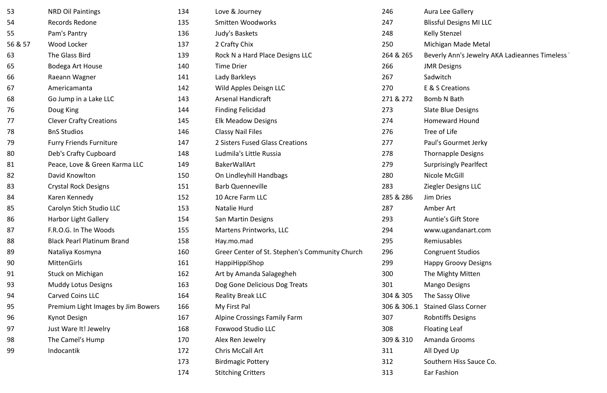| 53      | <b>NRD Oil Paintings</b>           | 134 | Love & Journey                                 | 246         | Aura Lee Gallery               |
|---------|------------------------------------|-----|------------------------------------------------|-------------|--------------------------------|
| 54      | Records Redone                     | 135 | <b>Smitten Woodworks</b>                       | 247         | <b>Blissful Designs MI LLC</b> |
| 55      | Pam's Pantry                       | 136 | Judy's Baskets                                 | 248         | <b>Kelly Stenzel</b>           |
| 56 & 57 | Wood Locker                        | 137 | 2 Crafty Chix                                  | 250         | Michigan Made Metal            |
| 63      | The Glass Bird                     | 139 | Rock N a Hard Place Designs LLC                | 264 & 265   | Beverly Ann's Jewelry          |
| 65      | Bodega Art House                   | 140 | <b>Time Drier</b>                              | 266         | <b>JMR Designs</b>             |
| 66      | Raeann Wagner                      | 141 | Lady Barkleys                                  | 267         | Sadwitch                       |
| 67      | Americamanta                       | 142 | Wild Apples Deisgn LLC                         | 270         | E & S Creations                |
| 68      | Go Jump in a Lake LLC              | 143 | <b>Arsenal Handicraft</b>                      | 271 & 272   | Bomb N Bath                    |
| 76      | Doug King                          | 144 | <b>Finding Felicidad</b>                       | 273         | <b>Slate Blue Designs</b>      |
| 77      | <b>Clever Crafty Creations</b>     | 145 | <b>Elk Meadow Designs</b>                      | 274         | <b>Homeward Hound</b>          |
| 78      | <b>BnS Studios</b>                 | 146 | <b>Classy Nail Files</b>                       | 276         | Tree of Life                   |
| 79      | <b>Furry Friends Furniture</b>     | 147 | 2 Sisters Fused Glass Creations                | 277         | Paul's Gourmet Jerky           |
| 80      | Deb's Crafty Cupboard              | 148 | Ludmila's Little Russia                        | 278         | <b>Thornapple Designs</b>      |
| 81      | Peace, Love & Green Karma LLC      | 149 | <b>BakerWallArt</b>                            | 279         | <b>Surprisingly Pearlfect</b>  |
| 82      | David Knowlton                     | 150 | On Lindleyhill Handbags                        | 280         | Nicole McGill                  |
| 83      | <b>Crystal Rock Designs</b>        | 151 | <b>Barb Quenneville</b>                        | 283         | <b>Ziegler Designs LLC</b>     |
| 84      | Karen Kennedy                      | 152 | 10 Acre Farm LLC                               | 285 & 286   | <b>Jim Dries</b>               |
| 85      | Carolyn Stich Studio LLC           | 153 | Natalie Hurd                                   | 287         | Amber Art                      |
| 86      | <b>Harbor Light Gallery</b>        | 154 | <b>San Martin Designs</b>                      | 293         | <b>Auntie's Gift Store</b>     |
| 87      | F.R.O.G. In The Woods              | 155 | <b>Martens Printworks, LLC</b>                 | 294         | www.ugandanart.com             |
| 88      | <b>Black Pearl Platinum Brand</b>  | 158 | Hay.mo.mad                                     | 295         | Remiusables                    |
| 89      | Nataliya Kosmyna                   | 160 | Greer Center of St. Stephen's Community Church | 296         | <b>Congruent Studios</b>       |
| 90      | <b>MittenGirls</b>                 | 161 | HappiHippiShop                                 | 299         | <b>Happy Groovy Designs</b>    |
| 91      | <b>Stuck on Michigan</b>           | 162 | Art by Amanda Salagegheh                       | 300         | The Mighty Mitten              |
| 93      | <b>Muddy Lotus Designs</b>         | 163 | Dog Gone Delicious Dog Treats                  | 301         | <b>Mango Designs</b>           |
| 94      | <b>Carved Coins LLC</b>            | 164 | <b>Reality Break LLC</b>                       | 304 & 305   | The Sassy Olive                |
| 95      | Premium Light Images by Jim Bowers | 166 | My First Pal                                   | 306 & 306.1 | <b>Stained Glass Corner</b>    |
| 96      | <b>Kynot Design</b>                | 167 | <b>Alpine Crossings Family Farm</b>            | 307         | <b>Robntiffs Designs</b>       |
| 97      | Just Ware It! Jewelry              | 168 | <b>Foxwood Studio LLC</b>                      | 308         | <b>Floating Leaf</b>           |
| 98      | The Camel's Hump                   | 170 | Alex Ren Jewelry                               | 309 & 310   | Amanda Grooms                  |
| 99      | Indocantik                         | 172 | Chris McCall Art                               | 311         | All Dyed Up                    |
|         |                                    | 173 | <b>Birdmagic Pottery</b>                       | 312         | Southern Hiss Sauce C          |
|         |                                    | 174 | <b>Stitching Critters</b>                      | 313         | Ear Fashion                    |

<sup>d</sup> Ann's Jewelry AKA Ladieannes Timeless rn Hiss Sauce Co.